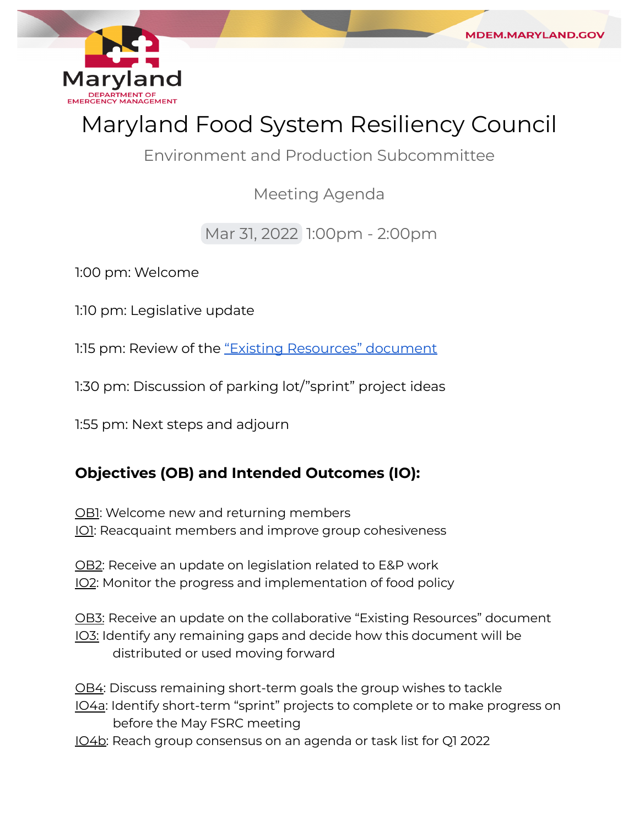

MDEM.MARYLAND.GC

Environment and Production Subcommittee

Meeting Agenda

Mar 31, 2022 1:00pm - 2:00pm

1:00 pm: Welcome

1:10 pm: Legislative update

1:15 pm: Review of the "Existing [Resources"](https://docs.google.com/document/d/1msJHRl3h8W1mCQ_WioyzAN4Q1K2GuPE-UoZb1iB7ibg/edit?usp=sharing) document

1:30 pm: Discussion of parking lot/"sprint" project ideas

1:55 pm: Next steps and adjourn

## **Objectives (OB) and Intended Outcomes (IO):**

OBI: Welcome new and returning members IO1: Reacquaint members and improve group cohesiveness

OB2: Receive an update on legislation related to E&P work IO2: Monitor the progress and implementation of food policy

OB3: Receive an update on the collaborative "Existing Resources" document IO3: Identify any remaining gaps and decide how this document will be distributed or used moving forward

OB4: Discuss remaining short-term goals the group wishes to tackle

- IO4a: Identify short-term "sprint" projects to complete or to make progress on before the May FSRC meeting
- IO4b: Reach group consensus on an agenda or task list for Q1 2022